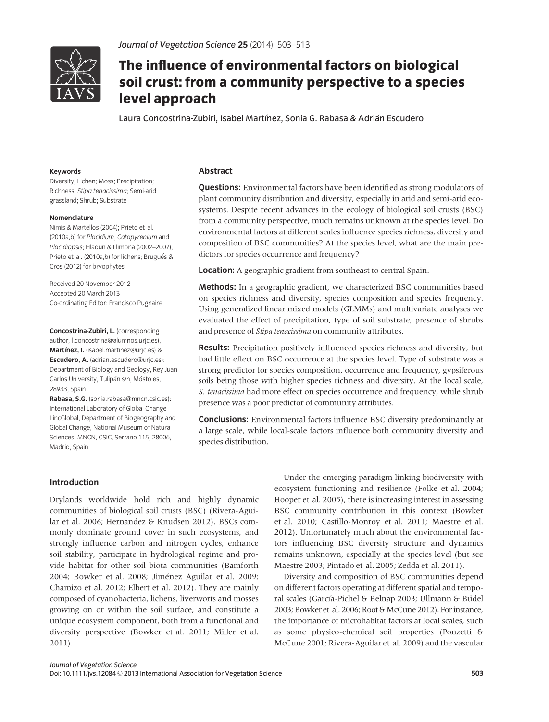

# The influence of environmental factors on biological soil crust: from a community perspective to a species level approach

level approach Laura Concostrina-Zubiri, Isabel Martınez, Sonia G. Rabasa & Adrian Escudero

# Keywords

Diversity; Lichen; Moss; Precipitation; Richness; Stipa tenacissima; Semi-arid grassland; Shrub; Substrate

#### Nomenclature

Nimis & Martellos (2004); Prieto et al. (2010a,b) for Placidium, Catapyrenium and Placidiopsis; Hladun & Llimona (2002–2007), Prieto et al. (2010a,b) for lichens; Brugués & Cros (2012) for bryophytes

Received 20 November 2012 Accepted 20 March 2013 Co-ordinating Editor: Francisco Pugnaire

Concostrina-Zubiri, L. (corresponding author, l.concostrina@alumnos.urjc.es), Martínez, I. (isabel.martinez@urjc.es) & Escudero, A. (adrian.escudero@urjc.es): Department of Biology and Geology, Rey Juan Carlos University, Tulipán s/n, Móstoles, 28933, Spain

Rabasa, S.G. (sonia.rabasa@mncn.csic.es): International Laboratory of Global Change LincGlobal, Department of Biogeography and Global Change, National Museum of Natural Sciences, MNCN, CSIC, Serrano 115, 28006, Madrid, Spain

# Abstract

**Questions:** Environmental factors have been identified as strong modulators of plant community distribution and diversity, especially in arid and semi-arid ecosystems. Despite recent advances in the ecology of biological soil crusts (BSC) from a community perspective, much remains unknown at the species level. Do environmental factors at different scales influence species richness, diversity and composition of BSC communities? At the species level, what are the main predictors for species occurrence and frequency?

Location: A geographic gradient from southeast to central Spain.

Methods: In a geographic gradient, we characterized BSC communities based on species richness and diversity, species composition and species frequency. Using generalized linear mixed models (GLMMs) and multivariate analyses we evaluated the effect of precipitation, type of soil substrate, presence of shrubs and presence of Stipa tenacissima on community attributes.

Results: Precipitation positively influenced species richness and diversity, but had little effect on BSC occurrence at the species level. Type of substrate was a strong predictor for species composition, occurrence and frequency, gypsiferous soils being those with higher species richness and diversity. At the local scale, S. tenacissima had more effect on species occurrence and frequency, while shrub presence was a poor predictor of community attributes.

**Conclusions:** Environmental factors influence BSC diversity predominantly at a large scale, while local-scale factors influence both community diversity and species distribution.

# Introduction

Drylands worldwide hold rich and highly dynamic communities of biological soil crusts (BSC) (Rivera-Aguilar et al. 2006; Hernandez & Knudsen 2012). BSCs commonly dominate ground cover in such ecosystems, and strongly influence carbon and nitrogen cycles, enhance soil stability, participate in hydrological regime and provide habitat for other soil biota communities (Bamforth 2004; Bowker et al. 2008; Jimenez Aguilar et al. 2009; Chamizo et al. 2012; Elbert et al. 2012). They are mainly composed of cyanobacteria, lichens, liverworts and mosses growing on or within the soil surface, and constitute a unique ecosystem component, both from a functional and diversity perspective (Bowker et al. 2011; Miller et al. 2011).

Under the emerging paradigm linking biodiversity with ecosystem functioning and resilience (Folke et al. 2004; Hooper et al. 2005), there is increasing interest in assessing BSC community contribution in this context (Bowker et al. 2010; Castillo-Monroy et al. 2011; Maestre et al. 2012). Unfortunately much about the environmental factors influencing BSC diversity structure and dynamics remains unknown, especially at the species level (but see Maestre 2003; Pintado et al. 2005; Zedda et al. 2011).

Diversity and composition of BSC communities depend on different factors operating at different spatial and temporal scales (García-Pichel & Belnap 2003; Ullmann & Büdel 2003; Bowker et al. 2006; Root & McCune 2012). For instance, the importance of microhabitat factors at local scales, such as some physico-chemical soil properties (Ponzetti & McCune 2001; Rivera-Aguilar et al. 2009) and the vascular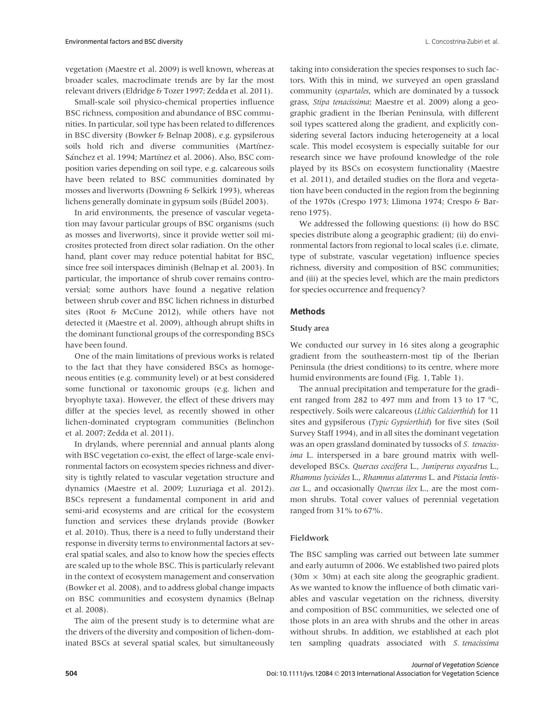vegetation (Maestre et al. 2009) is well known, whereas at broader scales, macroclimate trends are by far the most relevant drivers (Eldridge & Tozer 1997; Zedda et al. 2011).

Small-scale soil physico-chemical properties influence BSC richness, composition and abundance of BSC communities. In particular, soil type has been related to differences in BSC diversity (Bowker & Belnap 2008), e.g. gypsiferous soils hold rich and diverse communities (Martínez-Sánchez et al. 1994; Martínez et al. 2006). Also, BSC composition varies depending on soil type, e.g. calcareous soils have been related to BSC communities dominated by mosses and liverworts (Downing & Selkirk 1993), whereas lichens generally dominate in gypsum soils (Büdel 2003).

In arid environments, the presence of vascular vegetation may favour particular groups of BSC organisms (such as mosses and liverworts), since it provide wetter soil microsites protected from direct solar radiation. On the other hand, plant cover may reduce potential habitat for BSC, since free soil interspaces diminish (Belnap et al. 2003). In particular, the importance of shrub cover remains controversial; some authors have found a negative relation between shrub cover and BSC lichen richness in disturbed sites (Root & McCune 2012), while others have not detected it (Maestre et al. 2009), although abrupt shifts in the dominant functional groups of the corresponding BSCs have been found.

One of the main limitations of previous works is related to the fact that they have considered BSCs as homogeneous entities (e.g. community level) or at best considered some functional or taxonomic groups (e.g. lichen and bryophyte taxa). However, the effect of these drivers may differ at the species level, as recently showed in other lichen-dominated cryptogram communities (Belinchon et al. 2007; Zedda et al. 2011).

In drylands, where perennial and annual plants along with BSC vegetation co-exist, the effect of large-scale environmental factors on ecosystem species richness and diversity is tightly related to vascular vegetation structure and dynamics (Maestre et al. 2009; Luzuriaga et al. 2012). BSCs represent a fundamental component in arid and semi-arid ecosystems and are critical for the ecosystem function and services these drylands provide (Bowker et al. 2010). Thus, there is a need to fully understand their response in diversity terms to environmental factors at several spatial scales, and also to know how the species effects are scaled up to the whole BSC. This is particularly relevant in the context of ecosystem management and conservation (Bowker et al. 2008), and to address global change impacts on BSC communities and ecosystem dynamics (Belnap et al. 2008).

The aim of the present study is to determine what are the drivers of the diversity and composition of lichen-dominated BSCs at several spatial scales, but simultaneously taking into consideration the species responses to such factors. With this in mind, we surveyed an open grassland community (espartales, which are dominated by a tussock grass, Stipa tenacissima; Maestre et al. 2009) along a geographic gradient in the Iberian Peninsula, with different soil types scattered along the gradient, and explicitly considering several factors inducing heterogeneity at a local scale. This model ecosystem is especially suitable for our research since we have profound knowledge of the role played by its BSCs on ecosystem functionality (Maestre et al. 2011), and detailed studies on the flora and vegetation have been conducted in the region from the beginning of the 1970s (Crespo 1973; Llimona 1974; Crespo & Barreno 1975).

We addressed the following questions: (i) how do BSC species distribute along a geographic gradient; (ii) do environmental factors from regional to local scales (i.e. climate, type of substrate, vascular vegetation) influence species richness, diversity and composition of BSC communities; and (iii) at the species level, which are the main predictors for species occurrence and frequency?

#### Methods

# Study area

We conducted our survey in 16 sites along a geographic gradient from the southeastern-most tip of the Iberian Peninsula (the driest conditions) to its centre, where more humid environments are found (Fig. 1, Table 1).

The annual precipitation and temperature for the gradient ranged from 282 to 497 mm and from 13 to 17 °C, respectively. Soils were calcareous (Lithic Calciorthid) for 11 sites and gypsiferous (Typic Gypsiorthid) for five sites (Soil Survey Staff 1994), and in all sites the dominant vegetation was an open grassland dominated by tussocks of S. tenacissima L. interspersed in a bare ground matrix with welldeveloped BSCs. Quercus coccifera L., Juniperus oxycedrus L., Rhamnus lycioides L., Rhamnus alaternus L. and Pistacia lentiscus L., and occasionally Quercus ilex L., are the most common shrubs. Total cover values of perennial vegetation ranged from 31% to 67%.

#### Fieldwork

The BSC sampling was carried out between late summer and early autumn of 2006. We established two paired plots  $(30m \times 30m)$  at each site along the geographic gradient. As we wanted to know the influence of both climatic variables and vascular vegetation on the richness, diversity and composition of BSC communities, we selected one of those plots in an area with shrubs and the other in areas without shrubs. In addition, we established at each plot ten sampling quadrats associated with S. tenacissima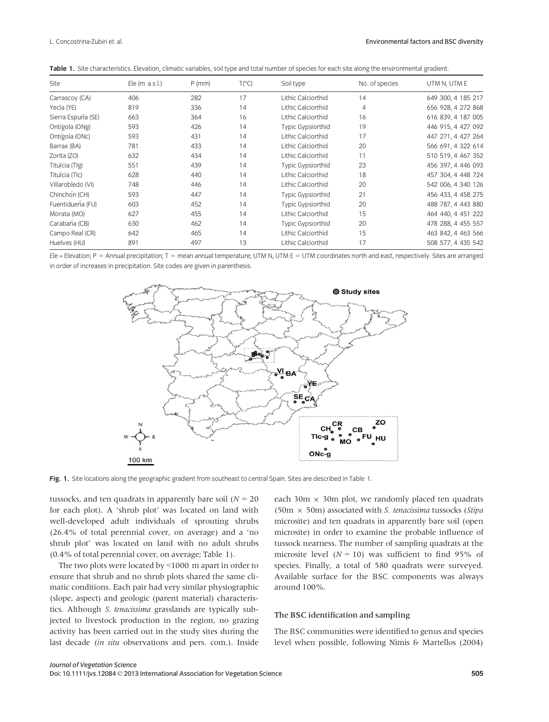|  |  | <b>Table 1.</b> Site characteristics, Elevation, climatic variables, soil type and total number of species for each site along the environmental gradient, |  |  |  |  |  |  |  |  |  |  |  |  |  |
|--|--|------------------------------------------------------------------------------------------------------------------------------------------------------------|--|--|--|--|--|--|--|--|--|--|--|--|--|
|--|--|------------------------------------------------------------------------------------------------------------------------------------------------------------|--|--|--|--|--|--|--|--|--|--|--|--|--|

| Site               | Ele $(m$ a.s.l.) | $P$ (mm) | $T(^{\circ}C)$ | Soil type          | No. of species | UTM N, UTM E       |
|--------------------|------------------|----------|----------------|--------------------|----------------|--------------------|
| Carrascoy (CA)     | 406              | 282      | 17             | Lithic Calciorthid | 14             | 649 300, 4 185 217 |
| Yecla (YE)         | 819              | 336      | 14             | Lithic Calciorthid | 4              | 656 928, 4 272 868 |
| Sierra Espuña (SE) | 663              | 364      | 16             | Lithic Calciorthid | 16             | 616 839, 4 187 005 |
| Ontígola (ONg)     | 593              | 426      | 14             | Typic Gypsiorthid  | 19             | 446 915, 4 427 092 |
| Ontígola (ONc)     | 593              | 431      | 14             | Lithic Calciorthid | 17             | 447 271.4 427 264  |
| Barrax (BA)        | 781              | 433      | 14             | Lithic Calciorthid | 20             | 566 691, 4 322 614 |
| Zorita (ZO)        | 632              | 434      | 14             | Lithic Calciorthid | 11             | 510 519, 4 467 352 |
| Titulcia (TIg)     | 551              | 439      | 14             | Typic Gypsiorthid  | 23             | 456 397, 4 446 093 |
| Titulcia (TIc)     | 628              | 440      | 14             | Lithic Calciorthid | 18             | 457 304, 4 448 724 |
| Villarobledo (VI)  | 748              | 446      | 14             | Lithic Calciorthid | 20             | 542 006, 4 340 126 |
| Chinchón (CH)      | 593              | 447      | 14             | Typic Gypsiorthid  | 21             | 456 433, 4 458 275 |
| Fuentidueña (FU)   | 603              | 452      | 14             | Typic Gypsiorthid  | 20             | 488 787, 4 443 880 |
| Morata (MO)        | 627              | 455      | 14             | Lithic Calciorthid | 15             | 464 440.4 451 222  |
| Carabaña (CB)      | 630              | 462      | 14             | Typic Gypsiorthid  | 20             | 478 288, 4 455 557 |
| Campo Real (CR)    | 642              | 465      | 14             | Lithic Calciorthid | 15             | 463 842, 4 463 566 |
| Huelves (HU)       | 891              | 497      | 13             | Lithic Calciorthid | 17             | 508 577, 4 435 542 |

Ele = Elevation; P = Annual precipitation; T = mean annual temperature; UTM N, UTM E = UTM coordinates north and east, respectively. Sites are arranged in order of increases in precipitation. Site codes are given in parenthesis.



Fig. 1. Site locations along the geographic gradient from southeast to central Spain. Sites are described in Table 1.

tussocks, and ten quadrats in apparently bare soil ( $N = 20$ ) for each plot). A 'shrub plot' was located on land with well-developed adult individuals of sprouting shrubs (26.4% of total perennial cover, on average) and a 'no shrub plot' was located on land with no adult shrubs (0.4% of total perennial cover, on average; Table 1).

The two plots were located by <1000 m apart in order to ensure that shrub and no shrub plots shared the same climatic conditions. Each pair had very similar physiographic (slope, aspect) and geologic (parent material) characteristics. Although S. tenacissima grasslands are typically subjected to livestock production in the region, no grazing activity has been carried out in the study sites during the last decade (in situ observations and pers. com.). Inside

each 30m  $\times$  30m plot, we randomly placed ten quadrats (50m  $\times$  50m) associated with S. tenacissima tussocks (Stipa microsite) and ten quadrats in apparently bare soil (open microsite) in order to examine the probable influence of tussock nearness. The number of sampling quadrats at the microsite level ( $N = 10$ ) was sufficient to find 95% of species. Finally, a total of 580 quadrats were surveyed. Available surface for the BSC components was always around 100%.

# The BSC identification and sampling

The BSC communities were identified to genus and species level when possible, following Nimis & Martellos (2004)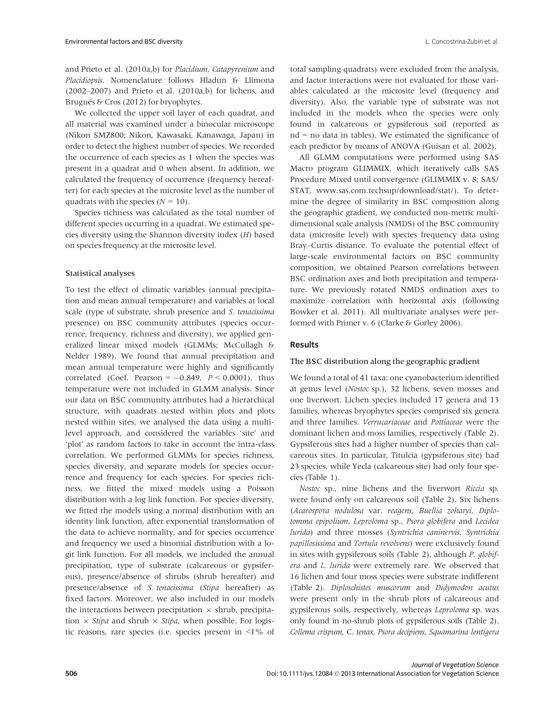and Prieto et al. (2010a,b) for Placidium, Catapyrenium and Placidiopsis. Nomenclature follows Hladun & Llimona (2002–2007) and Prieto et al. (2010a,b) for lichens, and Brugués & Cros (2012) for bryophytes.

We collected the upper soil layer of each quadrat, and all material was examined under a binocular microscope (Nikon SMZ800; Nikon, Kawasaki, Kanawaga, Japan) in order to detect the highest number of species. We recorded the occurrence of each species as 1 when the species was present in a quadrat and 0 when absent. In addition, we calculated the frequency of occurrence (frequency hereafter) for each species at the microsite level as the number of quadrats with the species ( $N = 10$ ).

Species richness was calculated as the total number of different species occurring in a quadrat. We estimated species diversity using the Shannon diversity index (H) based on species frequency at the microsite level.

# Statistical analyses

To test the effect of climatic variables (annual precipitation and mean annual temperature) and variables at local scale (type of substrate, shrub presence and S. tenacissima presence) on BSC community attributes (species occurrence, frequency, richness and diversity), we applied generalized linear mixed models (GLMMs; McCullagh & Nelder 1989). We found that annual precipitation and mean annual temperature were highly and significantly correlated (Coef. Pearson =  $-0.849$ ,  $P < 0.0001$ ), thus temperature were not included in GLMM analysis. Since our data on BSC community attributes had a hierarchical structure, with quadrats nested within plots and plots nested within sites, we analysed the data using a multilevel approach, and considered the variables 'site' and 'plot' as random factors to take in account the intra-class correlation. We performed GLMMs for species richness, species diversity, and separate models for species occurrence and frequency for each species. For species richness, we fitted the mixed models using a Poisson distribution with a log link function. For species diversity, we fitted the models using a normal distribution with an identity link function, after exponential transformation of the data to achieve normality, and for species occurrence and frequency we used a binomial distribution with a logit link function. For all models, we included the annual precipitation, type of substrate (calcareous or gypsiferous), presence/absence of shrubs (shrub hereafter) and presence/absence of S. tenacissima (Stipa hereafter) as fixed factors. Moreover, we also included in our models the interactions between precipitation  $\times$  shrub, precipitation  $\times$  *Stipa* and shrub  $\times$  *Stipa*, when possible. For logistic reasons, rare species (i.e. species present in <1% of

total sampling quadrats) were excluded from the analysis, and factor interactions were not evaluated for those variables calculated at the microsite level (frequency and diversity). Also, the variable type of substrate was not included in the models when the species were only found in calcareous or gypsiferous soil (reported as nd = no data in tables). We estimated the significance of each predictor by means of ANOVA (Guisan et al. 2002).

All GLMM computations were performed using SAS Macro program GLIMMIX, which iteratively calls SAS Procedure Mixed until convergence (GLIMMIX v. 8; SAS/ STAT, www.sas.com.techsup/download/stat/). To determine the degree of similarity in BSC composition along the geographic gradient, we conducted non-metric multidimensional scale analysis (NMDS) of the BSC community data (microsite level) with species frequency data using Bray–Curtis distance. To evaluate the potential effect of large-scale environmental factors on BSC community composition, we obtained Pearson correlations between BSC ordination axes and both precipitation and temperature. We previously rotated NMDS ordination axes to maximize correlation with horizontal axis (following Bowker et al. 2011). All multivariate analyses were performed with Primer v. 6 (Clarke & Gorley 2006).

# Results

# The BSC distribution along the geographic gradient

We found a total of 41 taxa: one cyanobacterium identified at genus level (Nostoc sp.), 32 lichens, seven mosses and one liverwort. Lichen species included 17 genera and 13 families, whereas bryophytes species comprised six genera and three families. Verrucariaceae and Pottiaceae were the dominant lichen and moss families, respectively (Table 2). Gypsiferous sites had a higher number of species than calcareous sites. In particular, Titulcia (gypsiferous site) had 23 species, while Yecla (calcareous site) had only four species (Table 1).

Nostoc sp., nine lichens and the liverwort Riccia sp. were found only on calcareous soil (Table 2). Six lichens (Acarospora nodulosa var. reagens, Buellia zoharyi, Diplotomma epipolium, Leproloma sp., Psora globifera and Lecidea lurida) and three mosses (Syntrichia caninervis, Syntrichia papillosissima and Tortula revolvens) were exclusively found in sites with gypsiferous soils (Table 2), although P. globifera and L. lurida were extremely rare. We observed that 16 lichen and four moss species were substrate indifferent (Table 2). Diploschistes muscorum and Didymodon acutus were present only in the shrub plots of calcareous and gypsiferous soils, respectively, whereas Leproloma sp. was only found in no-shrub plots of gypsiferous soils (Table 2). Collema crispum, C. tenax, Psora decipiens, Squamarina lentigera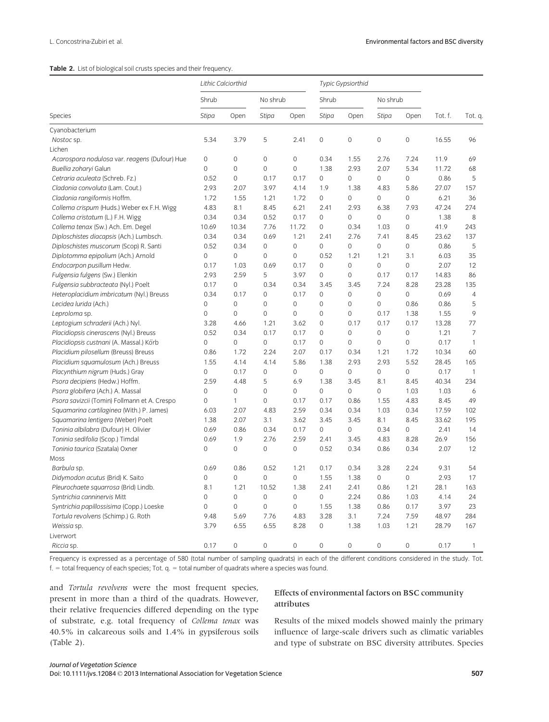# Table 2. List of biological soil crusts species and their frequency.

|                                               | Lithic Calciorthid |                     |                     |              | Typic Gypsiorthid |              |                     |              |         |                |
|-----------------------------------------------|--------------------|---------------------|---------------------|--------------|-------------------|--------------|---------------------|--------------|---------|----------------|
|                                               | Shrub              |                     | No shrub            |              | Shrub             |              | No shrub            |              |         |                |
| Species                                       | Stipa              | Open                | Stipa               | Open         | <b>Stipa</b>      | Open         | <b>Stipa</b>        | Open         | Tot. f. | Tot. q.        |
| Cyanobacterium                                |                    |                     |                     |              |                   |              |                     |              |         |                |
| Nostoc sp.                                    | 5.34               | 3.79                | 5                   | 2.41         | 0                 | $\mathbf 0$  | $\mathsf{O}\xspace$ | $\mathbf 0$  | 16.55   | 96             |
| Lichen                                        |                    |                     |                     |              |                   |              |                     |              |         |                |
| Acarospora nodulosa var. reagens (Dufour) Hue | 0                  | $\mathbf 0$         | $\mathbf 0$         | $\mathbf 0$  | 0.34              | 1.55         | 2.76                | 7.24         | 11.9    | 69             |
| Buellia zoharyi Galun                         | 0                  | $\mathbf 0$         | $\mathsf{O}\xspace$ | 0            | 1.38              | 2.93         | 2.07                | 5.34         | 11.72   | 68             |
| Cetraria aculeata (Schreb. Fz.)               | 0.52               | $\mathsf{O}\xspace$ | 0.17                | 0.17         | 0                 | $\mathbf{0}$ | 0                   | $\mathbf 0$  | 0.86    | 5              |
| Cladonia convoluta (Lam. Cout.)               | 2.93               | 2.07                | 3.97                | 4.14         | 1.9               | 1.38         | 4.83                | 5.86         | 27.07   | 157            |
| Cladonia rangiformis Hoffm.                   | 1.72               | 1.55                | 1.21                | 1.72         | 0                 | $\mathbf{0}$ | $\mathbf 0$         | $\mathbf 0$  | 6.21    | 36             |
| Collema crispum (Huds.) Weber ex F.H. Wigg    | 4.83               | 8.1                 | 8.45                | 6.21         | 2.41              | 2.93         | 6.38                | 7.93         | 47.24   | 274            |
| Collema cristatum (L.) F.H. Wigg              | 0.34               | 0.34                | 0.52                | 0.17         | 0                 | $\mathbf 0$  | $\mathbf{O}$        | $\mathbf 0$  | 1.38    | 8              |
| Collema tenax (Sw.) Ach. Em. Degel            | 10.69              | 10.34               | 7.76                | 11.72        | 0                 | 0.34         | 1.03                | $\mathbf 0$  | 41.9    | 243            |
| Diploschistes diacapsis (Ach.) Lumbsch.       | 0.34               | 0.34                | 0.69                | 1.21         | 2.41              | 2.76         | 7.41                | 8.45         | 23.62   | 137            |
| Diploschistes muscorum (Scop) R. Santi        | 0.52               | 0.34                | 0                   | $\mathbf{O}$ | 0                 | $\mathbf{0}$ | $\mathbf{O}$        | $\mathbf 0$  | 0.86    | 5              |
| Diplotomma epipolium (Ach.) Arnold            | 0                  | 0                   | $\mathbf 0$         | 0            | 0.52              | 1.21         | 1.21                | 3.1          | 6.03    | 35             |
| Endocarpon pusillum Hedw.                     | 0.17               | 1.03                | 0.69                | 0.17         | 0                 | $\mathbf 0$  | $\mathbf{O}$        | $\mathbf 0$  | 2.07    | 12             |
| Fulgensia fulgens (Sw.) Elenkin               | 2.93               | 2.59                | 5                   | 3.97         | 0                 | $\mathbf 0$  | 0.17                | 0.17         | 14.83   | 86             |
| Fulgensia subbracteata (Nyl.) Poelt           | 0.17               | 0                   | 0.34                | 0.34         | 3.45              | 3.45         | 7.24                | 8.28         | 23.28   | 135            |
| Heteroplacidium imbricatum (Nyl.) Breuss      | 0.34               | 0.17                | $\mathbf 0$         | 0.17         | 0                 | $\mathbf{0}$ | $\mathbf{O}$        | $\mathbf 0$  | 0.69    | $\overline{4}$ |
| Lecidea lurida (Ach.)                         | 0                  | $\mathsf{O}\xspace$ | 0                   | $\mathbf{O}$ | 0                 | $\mathbf{0}$ | $\mathbf{O}$        | 0.86         | 0.86    | 5              |
| Leproloma sp.                                 | 0                  | $\mathbf 0$         | $\mathbf 0$         | $\mathbf 0$  | 0                 | $\mathbf{0}$ | 0.17                | 1.38         | 1.55    | 9              |
| Leptogium schraderii (Ach.) Nyl.              | 3.28               | 4.66                | 1.21                | 3.62         | 0                 | 0.17         | 0.17                | 0.17         | 13.28   | 77             |
| Placidiopsis cinerascens (Nyl.) Breuss        | 0.52               | 0.34                | 0.17                | 0.17         | 0                 | $\mathbf 0$  | $\mathsf{O}\xspace$ | $\mathbf 0$  | 1.21    | $\overline{7}$ |
| Placidiopsis custnani (A. Massal.) Körb       | 0                  | 0                   | 0                   | 0.17         | 0                 | $\mathbf{0}$ | $\mathbf{O}$        | $\mathbf{0}$ | 0.17    | $\mathbf{1}$   |
| Placidium pilosellum (Breuss) Breuss          | 0.86               | 1.72                | 2.24                | 2.07         | 0.17              | 0.34         | 1.21                | 1.72         | 10.34   | 60             |
| Placidium squamulosum (Ach.) Breuss           | 1.55               | 4.14                | 4.14                | 5.86         | 1.38              | 2.93         | 2.93                | 5.52         | 28.45   | 165            |
| Placynthium nigrum (Huds.) Gray               | 0                  | 0.17                | $\mathbf 0$         | $\mathbf 0$  | 0                 | $\mathbf{0}$ | $\mathbf 0$         | $\mathbf 0$  | 0.17    | $\mathbf{1}$   |
| Psora decipiens (Hedw.) Hoffm.                | 2.59               | 4.48                | 5                   | 6.9          | 1.38              | 3.45         | 8.1                 | 8.45         | 40.34   | 234            |
| Psora globifera (Ach.) A. Massal              | 0                  | $\mathsf 0$         | $\mathsf{O}\xspace$ | 0            | 0                 | $\mathbf 0$  | 0                   | 1.03         | 1.03    | 6              |
| Psora savizcii (Tomin) Follmann et A. Crespo  | 0                  | 1                   | $\mathbf 0$         | 0.17         | 0.17              | 0.86         | 1.55                | 4.83         | 8.45    | 49             |
| Squamarina cartilaginea (With.) P. James)     | 6.03               | 2.07                | 4.83                | 2.59         | 0.34              | 0.34         | 1.03                | 0.34         | 17.59   | 102            |
| Squamarina lentigera (Weber) Poelt            | 1.38               | 2.07                | 3.1                 | 3.62         | 3.45              | 3.45         | 8.1                 | 8.45         | 33.62   | 195            |
| Toninia albilabra (Dufour) H. Olivier         | 0.69               | 0.86                | 0.34                | 0.17         | 0                 | $\mathbf{0}$ | 0.34                | $\mathbf 0$  | 2.41    | 14             |
| Toninia sedifolia (Scop.) Timdal              | 0.69               | 1.9                 | 2.76                | 2.59         | 2.41              | 3.45         | 4.83                | 8.28         | 26.9    | 156            |
| Toninia taurica (Szatala) Oxner               | 0                  | 0                   | 0                   | 0            | 0.52              | 0.34         | 0.86                | 0.34         | 2.07    | 12             |
| Moss                                          |                    |                     |                     |              |                   |              |                     |              |         |                |
| Barbula sp.                                   | 0.69               | 0.86                | 0.52                | 1.21         | 0.17              | 0.34         | 3.28                | 2.24         | 9.31    | 54             |
| Didymodon acutus (Brid) K. Saito              | 0                  | 0                   | $\mathsf{O}\xspace$ | 0            | 1.55              | 1.38         | $\mathbf 0$         | $\mathbf 0$  | 2.93    | 17             |
| Pleurochaete squarrosa (Brid) Lindb.          | 8.1                | 1.21                | 10.52               | 1.38         | 2.41              | 2.41         | 0.86                | 1.21         | 28.1    | 163            |
| Syntrichia canninervis Mitt                   | 0                  | $\mathbf 0$         | $\mathbf 0$         | $\mathbf 0$  | 0                 | 2.24         | 0.86                | 1.03         | 4.14    | 24             |
|                                               |                    |                     |                     |              |                   |              |                     |              |         |                |
| Syntrichia papillossisima (Copp.) Loeske      | 0                  | $\mathbf 0$         | 0                   | 0            | 1.55              | 1.38         | 0.86<br>7.24        | 0.17         | 3.97    | 23<br>284      |
| Tortula revolvens (Schimp.) G. Roth           | 9.48               | 5.69                | 7.76                | 4.83         | 3.28              | 3.1          |                     | 7.59         | 48.97   |                |
| Weissia sp.                                   | 3.79               | 6.55                | 6.55                | 8.28         | 0                 | 1.38         | 1.03                | 1.21         | 28.79   | 167            |
| Liverwort                                     |                    |                     |                     | $\mathbf{O}$ |                   |              |                     |              |         |                |
| Riccia sp.                                    | 0.17               | 0                   | 0                   |              | 0                 | $\mathbf{0}$ | $\mathbf{O}$        | $\mathbf{0}$ | 0.17    | $\mathbf{1}$   |

Frequency is expressed as a percentage of 580 (total number of sampling quadrats) in each of the different conditions considered in the study. Tot.  $f =$  total frequency of each species; Tot. q. = total number of quadrats where a species was found.

and Tortula revolvens were the most frequent species, present in more than a third of the quadrats. However, their relative frequencies differed depending on the type of substrate, e.g. total frequency of Collema tenax was 40.5% in calcareous soils and 1.4% in gypsiferous soils (Table 2).

# Effects of environmental factors on BSC community attributes

Results of the mixed models showed mainly the primary influence of large-scale drivers such as climatic variables and type of substrate on BSC diversity attributes. Species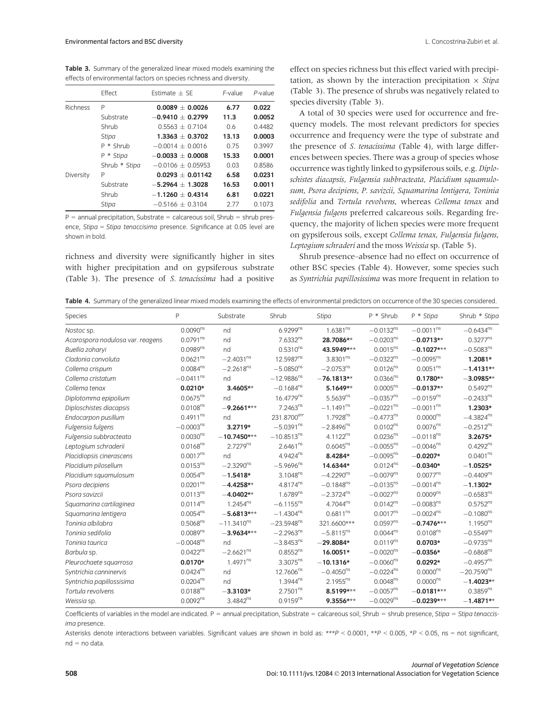Table 3. Summary of the generalized linear mixed models examining the effects of environmental factors on species richness and diversity.

|           | Effect        | Estimate $+$ SE     | $F$ -value | P-value |
|-----------|---------------|---------------------|------------|---------|
| Richness  | P             | $0.0089 + 0.0026$   | 6.77       | 0.022   |
|           | Substrate     | $-0.9410 + 0.2799$  | 11.3       | 0.0052  |
|           | Shrub         | $0.5563 \pm 0.7104$ | 0.6        | 0.4482  |
|           | Stipa         | $1.3363 + 0.3702$   | 13.13      | 0.0003  |
|           | $P * Shrub$   | $-0.0014 + 0.0016$  | 0.75       | 0.3997  |
|           | P * Stipa     | $-0.0033 + 0.0008$  | 15.33      | 0.0001  |
|           | Shrub * Stipa | $-0.0106 + 0.05953$ | 0.03       | 0.8586  |
| Diversity | P             | $0.0293 + 0.01142$  | 6.58       | 0.0231  |
|           | Substrate     | $-5.2964 + 1.3028$  | 16.53      | 0.0011  |
|           | Shrub         | $-1.1260 + 0.4314$  | 6.81       | 0.0221  |
|           | Stipa         | $-0.5166 + 0.3104$  | 2.77       | 0.1073  |

 $P =$  annual precipitation, Substrate = calcareous soil, Shrub = shrub presence, Stipa = Stipa tenaccisima presence. Significance at 0.05 level are shown in bold.

richness and diversity were significantly higher in sites with higher precipitation and on gypsiferous substrate (Table 3). The presence of S. tenacissima had a positive

effect on species richness but this effect varied with precipitation, as shown by the interaction precipitation  $\times$  Stipa (Table 3). The presence of shrubs was negatively related to species diversity (Table 3).

A total of 30 species were used for occurrence and frequency models. The most relevant predictors for species occurrence and frequency were the type of substrate and the presence of S. tenacissima (Table 4), with large differences between species. There was a group of species whose occurrence was tightly linked to gypsiferous soils, e.g. Diploschistes diacapsis, Fulgensia subbracteata, Placidium squamulosum, Psora decipiens, P. savizcii, Squamarina lentigera, Toninia sedifolia and Tortula revolvens, whereas Collema tenax and Fulgensia fulgens preferred calcareous soils. Regarding frequency, the majority of lichen species were more frequent on gypsiferous soils, except Collema tenax, Fulgensia fulgens, Leptogium schraderi and the moss Weissia sp. (Table 5).

Shrub presence–absence had no effect on occurrence of other BSC species (Table 4). However, some species such as Syntrichia papillosissima was more frequent in relation to

Table 4. Summary of the generalized linear mixed models examining the effects of environmental predictors on occurrence of the 30 species considered.

| Species                          | $\sf P$              | Substrate       | Shrub                 | <b>Stipa</b>         | P * Shrub               | P * Stipa               | Shrub * Stipc        |
|----------------------------------|----------------------|-----------------|-----------------------|----------------------|-------------------------|-------------------------|----------------------|
| Nostoc sp.                       | $0.0090^{ns}$        | nd              | 6.9299ns              | $1.6381^{ns}$        | $-0.0132^{ns}$          | $-0.0011^{ns}$          | $-0.6434^{ns}$       |
| Acarospora nodulosa var. reagens | 0.0791 <sup>ns</sup> | nd              | $7.6332^{ns}$         | 28.7086**            | $-0.0203ns$             | $-0.0713**$             | $0.3277^{ns}$        |
| Buellia zoharyi                  | $0.0989^{ns}$        | nd              | $0.5310^{ns}$         | 43.5949***           | $0.0015^{ns}$           | $-0.1027***$            | $-0.5083^{ns}$       |
| Cladonia convoluta               | 0.0621 <sup>ns</sup> | $-2.4031^{ns}$  | 12.5987 <sup>ns</sup> | 3.8301 <sup>ns</sup> | $-0.0322^{ns}$          | $-0.0095^{ns}$          | 1.2081*              |
| Collema crispum                  | $0.0084^{ns}$        | $-2.2618^{ns}$  | $-5.0850^{ns}$        | $-2.0753^{ns}$       | $0.0126^{ns}$           | 0.0051 <sup>ns</sup>    | $-1.4131**$          |
| Collema cristatum                | $-0.0411^{ns}$       | nd              | $-12.9886^{ns}$       | $-76.1813**$         | $0.0366^{ns}$           | $0.1780**$              | $-3.0985**$          |
| Collema tenax                    | $0.0210*$            | $3.4605**$      | $-0.1684^{ns}$        | $5.1649**$           | $0.0005^{ns}$           | $-0.0137**$             | $0.5492^{ns}$        |
| Diplotomma epipolium             | $0.0675^{ns}$        | nd              | 16.4779 <sup>ns</sup> | $5.5639^{ns}$        | $-0.0357^{ns}$          | $-0.0159^{ns}$          | $-0.2433^{ns}$       |
| Diploschistes diacapsis          | 0.0108 <sup>ns</sup> | $-9.2661***$    | $7.2463^{ns}$         | $-1.1491^{ns}$       | $-0.0221$ <sup>ns</sup> | $-0.0011^{ns}$          | 1.2303*              |
| Endocarpon pusillum              | $0.4911^{ns}$        | nd              | 231.8700err           | 1.7928 <sup>ns</sup> | $-0.4773^{ns}$          | $0.0000^{ns}$           | $-4.3824^{ns}$       |
| Fulgensia fulgens                | $-0.0003ns$          | 3.2719*         | $-5.0391^{ns}$        | $-2.8496^{ns}$       | $0.0102^{ns}$           | $0.0076^{ns}$           | $-0.2512^{ns}$       |
| Fulgensia subbracteata           | $0.0030^{ns}$        | $-10.7450***$   | $-10.8513^{ns}$       | $4.1122^{ns}$        | 0.0236 <sup>ns</sup>    | $-0.0118^{ns}$          | 3.2675*              |
| Leptogium schraderii             | 0.0168 <sup>ns</sup> | $2.7279^{ns}$   | $2.6461^{ns}$         | $0.6045^{ns}$        | $-0.0055^{ns}$          | $-0.0046^{ns}$          | $0.4292^{ns}$        |
| Placidiopsis cinerascens         | 0.0017 <sup>ns</sup> | nd              | $4.9424^{ns}$         | 8.4284*              | $-0.0095^{ns}$          | $-0.0207*$              | 0.0401 <sup>ns</sup> |
| Placidium pilosellum             | $0.0153^{ns}$        | $-2.3290^{ns}$  | $-5.9696^{ns}$        | 14.6344*             | $0.0124^{ns}$           | $-0.0340*$              | $-1.0525*$           |
| Placidium squamulosum            | $0.0054^{ns}$        | $-1.5418*$      | 3.1048 <sup>ns</sup>  | $-4.2290^{ns}$       | $-0.0079^{ns}$          | $0.0077^{ns}$           | $-0.4409ns$          |
| Psora decipiens                  | 0.0201 <sup>ns</sup> | $-4.4258**$     | 4.8174 <sup>ns</sup>  | $-0.1848^{ns}$       | $-0.0135^{ns}$          | $-0.0014^{ns}$          | $-1.1302*$           |
| Psora savizcii                   | $0.0113^{ns}$        | $-4.0402**$     | 1.6789 <sup>ns</sup>  | $-2.3724^{ns}$       | $-0.0027^{ns}$          | 0.0009 <sup>ns</sup>    | $-0.6583^{ns}$       |
| Squamarina cartilaginea          | $0.0114^{ns}$        | $1.2454^{ns}$   | $-6.1155^{ns}$        | 4.7044 <sup>ns</sup> | $0.0142^{ns}$           | $-0.0083^{ns}$          | $0.5752^{ns}$        |
| Squamarina lentigera             | $0.0054^{ns}$        | $-5.6813***$    | $-1.4304^{ns}$        | $0.6811^{ns}$        | $0.0017^{ns}$           | $-0.0024$ <sup>ns</sup> | $-0.1080^{ns}$       |
| Toninia albilabra                | 0.5068 <sup>ns</sup> | $-11.3410^{ns}$ | $-23.5948^{ns}$       | 321.6600***          | $0.0597^{ns}$           | $-0.7476***$            | $1.1950^{ns}$        |
| Toninia sedifolia                | 0.0089 <sup>ns</sup> | $-3.9634***$    | $-2.2963^{ns}$        | $-5.8115^{ns}$       | $0.0044^{ns}$           | $0.0108^{ns}$           | $-0.5549^{ns}$       |
| Toninia taurica                  | $-0.0048^{ns}$       | nd              | $-3.8453^{ns}$        | $-29.8084*$          | $0.0119^{ns}$           | $0.0703*$               | $-0.9735^{ns}$       |
| Barbula sp.                      | $0.0422^{ns}$        | $-2.6621^{ns}$  | $0.8552^{ns}$         | 16.0051*             | $-0.0020^{ns}$          | $-0.0356*$              | $-0.6868^{ns}$       |
| Pleurochaete squarrosa           | $0.0170*$            | $1.4971^{ns}$   | $3.3075^{ns}$         | $-10.1316*$          | $-0.0060^{ns}$          | $0.0292*$               | $-0.4957^{ns}$       |
| Syntrichia canninervis           | $0.0424^{ns}$        | nd              | 12.7606 <sup>ns</sup> | $-0.4050^{ns}$       | $-0.0224^{ns}$          | $0.0000^{ns}$           | $-20.7590^{ns}$      |
| Syntrichia papillossisima        | $0.0204^{ns}$        | nd              | $1.3944^{ns}$         | $2.1955^{ns}$        | 0.0048 <sup>ns</sup>    | $0.0000^{ns}$           | $-1.4023**$          |
| Tortula revolvens                | 0.0188 <sup>ns</sup> | $-3.3103*$      | 2.7501 <sup>ns</sup>  | 8.5199***            | $-0.0057^{ns}$          | $-0.0181***$            | $0.3859^{ns}$        |
| Weissia sp.                      | 0.0092 <sup>ns</sup> | $3.4842^{ns}$   | $0.9159^{ns}$         | 9.3556***            | $-0.0029^{ns}$          | $-0.0239***$            | $-1.4871**$          |

Coefficients of variables in the model are indicated.  $P =$  annual precipitation, Substrate = calcareous soil, Shrub = shrub presence, Stipa = Stipa tenaccisima presence.

Asterisks denote interactions between variables. Significant values are shown in bold as: \*\*P < 0.0001, \*\*P < 0.005, \*P < 0.05, ns = not significant,  $nd = no data.$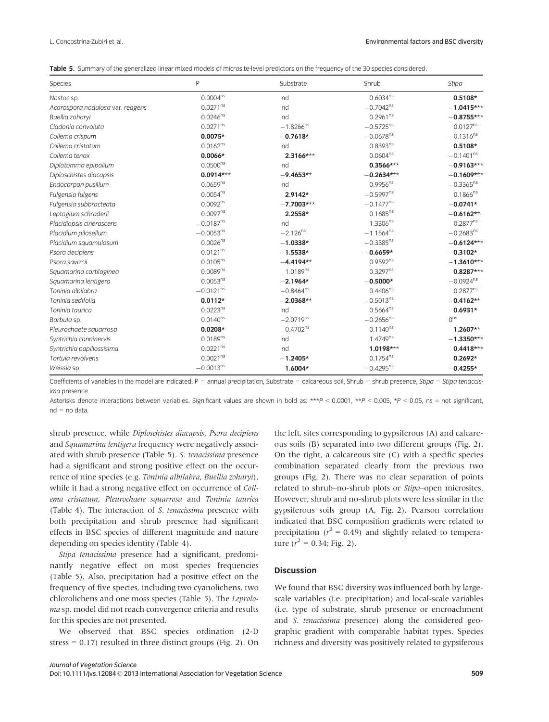|  |  |  |  |  |  | Table 5. Summary of the generalized linear mixed models of microsite-level predictors on the frequency of the 30 species considered. |
|--|--|--|--|--|--|--------------------------------------------------------------------------------------------------------------------------------------|
|--|--|--|--|--|--|--------------------------------------------------------------------------------------------------------------------------------------|

| Species                          | P                    | Substrate              | Shrub          | Stipa                |
|----------------------------------|----------------------|------------------------|----------------|----------------------|
| Nostoc sp.                       | $0.0004^{ns}$        | nd                     | $0.6034^{ns}$  | $0.5108*$            |
| Acarospora nodulosa var. reagens | $0.0271^{ns}$        | nd                     | $-0.7042^{ns}$ | $-1.0415***$         |
| Buellia zoharyi                  | $0.0246^{ns}$        | nd                     | $0.2961^{ns}$  | $-0.8755***$         |
| Cladonia convoluta               | $0.0271^{ns}$        | $-1.8266^{ns}$         | $-0.5725^{ns}$ | 0.0127 <sup>ns</sup> |
| Collema crispum                  | $0.0075*$            | $-0.7618*$             | $-0.0678^{ns}$ | $-0.1316^{ns}$       |
| Collema cristatum                | 0.0162 <sup>ns</sup> | nd                     | $0.8393^{ns}$  | $0.5108*$            |
| Collema tenax                    | $0.0066*$            | $2.3166***$            | $0.0604^{ns}$  | $-0.1401^{ns}$       |
| Diplotomma epipolium             | $0.0500^{ns}$        | nd                     | $0.3566***$    | $-0.9163***$         |
| Diploschistes diacapsis          | $0.0914***$          | $-9.4653**$            | $-0.2634***$   | $-0.1609***$         |
| Endocarpon pusillum              | 0.0659 <sup>ns</sup> | nd                     | $0.9956^{ns}$  | $-0.3365^{ns}$       |
| Fulgensia fulgens                | $0.0054^{ns}$        | 2.9142*                | $-0.5997^{ns}$ | $0.1866^{ns}$        |
| Fulgensia subbracteata           | 0.0092 <sup>ns</sup> | $-7.7003***$           | $-0.1477^{ns}$ | $-0.0741*$           |
| Leptogium schraderii             | $0.0097^{ns}$        | 2.2558*                | $0.1685^{ns}$  | $-0.6162**$          |
| Placidiopsis cinerascens         | $-0.0187^{ns}$       | nd                     | $1.3306^{ns}$  | $0.2877^{ns}$        |
| Placidium pilosellum             | $-0.0053^{ns}$       | $-2.126$ <sup>ns</sup> | $-1.1564^{ns}$ | $-0.2683^{ns}$       |
| Placidium squamulosum            | $0.0026^{ns}$        | $-1.0338*$             | $-0.3385^{ns}$ | $-0.6124***$         |
| Psora decipiens                  | $0.0121^{ns}$        | $-1.5538*$             | $-0.6659*$     | $-0.3102*$           |
| Psora savizcii                   | $0.0105^{ns}$        | $-4.4194**$            | $0.9592^{ns}$  | $-1.3610***$         |
| Squamarina cartilaginea          | 0.0089 <sup>ns</sup> | 1.0189 <sup>ns</sup>   | $0.3297^{ns}$  | $0.8287***$          |
| Squamarina lentigera             | $0.0053^{ns}$        | $-2.1964*$             | $-0.5000*$     | $-0.0924^{ns}$       |
| Toninia albilabra                | $-0.0121^{ns}$       | $-0.8464^{ns}$         | $0.4406^{ns}$  | $0.2877^{ns}$        |
| Toninia sedifolia                | $0.0112*$            | $-2.0368**$            | $-0.5013^{ns}$ | $-0.4162**$          |
| Toninia taurica                  | 0.0223 <sup>ns</sup> | nd                     | $0.5664^{ns}$  | $0.6931*$            |
| Barbula sp.                      | $0.0140^{ns}$        | $-2.0719^{ns}$         | $-0.2656^{ns}$ | 0 <sup>ns</sup>      |
| Pleurochaete squarrosa           | $0.0208*$            | $0.4702^{ns}$          | $0.1140^{ns}$  | $1.2607**$           |
| Syntrichia canninervis           | 0.0189 <sup>ns</sup> | nd                     | $1.4749^{ns}$  | $-1.3350***$         |
| Syntrichia papillossisima        | $0.0221^{ns}$        | nd                     | 1.0198***      | $0.4418***$          |
| Tortula revolvens                | 0.0021 <sup>ns</sup> | $-1.2405*$             | $0.1754^{ns}$  | $0.2692*$            |
| Weissia sp.                      | $-0.0013^{ns}$       | 1.6004*                | $-0.4295^{ns}$ | $-0.4255*$           |

Coefficients of variables in the model are indicated.  $P =$  annual precipitation, Substrate = calcareous soil, Shrub = shrub presence, Stipa = Stipa tenaccisima presence.

Asterisks denote interactions between variables. Significant values are shown in bold as: \*\*P < 0.0001, \*\*P < 0.005, \*P < 0.05, ns = not significant,  $nd = no data$ 

shrub presence, while Diploschistes diacapsis, Psora decipiens and Squamarina lentigera frequency were negatively associated with shrub presence (Table 5). S. tenacissima presence had a significant and strong positive effect on the occurrence of nine species (e.g. Toninia albilabra, Buellia zoharyi), while it had a strong negative effect on occurrence of Collema cristatum, Pleurochaete squarrosa and Toninia taurica (Table 4). The interaction of S. tenacissima presence with both precipitation and shrub presence had significant effects in BSC species of different magnitude and nature depending on species identity (Table 4).

Stipa tenacissima presence had a significant, predominantly negative effect on most species frequencies (Table 5). Also, precipitation had a positive effect on the frequency of five species, including two cyanolichens, two chlorolichens and one moss species (Table 5). The Leproloma sp. model did not reach convergence criteria and results for this species are not presented.

We observed that BSC species ordination (2-D stress  $= 0.17$ ) resulted in three distinct groups (Fig. 2). On

the left, sites corresponding to gypsiferous (A) and calcareous soils (B) separated into two different groups (Fig. 2). On the right, a calcareous site  $(C)$  with a specific species combination separated clearly from the previous two groups (Fig. 2). There was no clear separation of points related to shrub–no-shrub plots or Stipa–open microsites. However, shrub and no-shrub plots were less similar in the gypsiferous soils group (A, Fig. 2). Pearson correlation indicated that BSC composition gradients were related to precipitation ( $r^2 = 0.49$ ) and slightly related to temperature ( $r^2 = 0.34$ ; Fig. 2).

# Discussion

We found that BSC diversity was influenced both by largescale variables (i.e. precipitation) and local-scale variables (i.e. type of substrate, shrub presence or encroachment and S. tenacissima presence) along the considered geographic gradient with comparable habitat types. Species richness and diversity was positively related to gypsiferous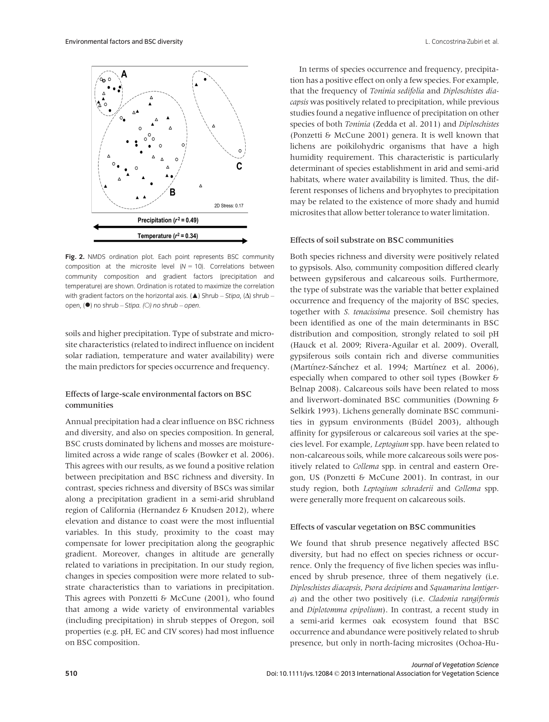

Fig. 2. NMDS ordination plot. Each point represents BSC community composition at the microsite level  $(N = 10)$ . Correlations between community composition and gradient factors (precipitation and temperature) are shown. Ordination is rotated to maximize the correlation with gradient factors on the horizontal axis. ( $\triangle$ ) Shrub – Stipa, ( $\triangle$ ) shrub – open, (●) no shrub – Stipa. (○) no shrub – open.

soils and higher precipitation. Type of substrate and microsite characteristics (related to indirect influence on incident solar radiation, temperature and water availability) were the main predictors for species occurrence and frequency.

# Effects of large-scale environmental factors on BSC communities

Annual precipitation had a clear influence on BSC richness and diversity, and also on species composition. In general, BSC crusts dominated by lichens and mosses are moisturelimited across a wide range of scales (Bowker et al. 2006). This agrees with our results, as we found a positive relation between precipitation and BSC richness and diversity. In contrast, species richness and diversity of BSCs was similar along a precipitation gradient in a semi-arid shrubland region of California (Hernandez & Knudsen 2012), where elevation and distance to coast were the most influential variables. In this study, proximity to the coast may compensate for lower precipitation along the geographic gradient. Moreover, changes in altitude are generally related to variations in precipitation. In our study region, changes in species composition were more related to substrate characteristics than to variations in precipitation. This agrees with Ponzetti & McCune (2001), who found that among a wide variety of environmental variables (including precipitation) in shrub steppes of Oregon, soil properties (e.g. pH, EC and CIV scores) had most influence on BSC composition.

In terms of species occurrence and frequency, precipitation has a positive effect on only a few species. For example, that the frequency of Toninia sedifolia and Diploschistes diacapsis was positively related to precipitation, while previous studies found a negative influence of precipitation on other species of both Toninia (Zedda et al. 2011) and Diploschistes (Ponzetti & McCune 2001) genera. It is well known that lichens are poikilohydric organisms that have a high humidity requirement. This characteristic is particularly determinant of species establishment in arid and semi-arid habitats, where water availability is limited. Thus, the different responses of lichens and bryophytes to precipitation may be related to the existence of more shady and humid microsites that allow better tolerance to water limitation.

# Effects of soil substrate on BSC communities

Both species richness and diversity were positively related to gypsisols. Also, community composition differed clearly between gypsiferous and calcareous soils. Furthermore, the type of substrate was the variable that better explained occurrence and frequency of the majority of BSC species, together with S. tenacissima presence. Soil chemistry has been identified as one of the main determinants in BSC distribution and composition, strongly related to soil pH (Hauck et al. 2009; Rivera-Aguilar et al. 2009). Overall, gypsiferous soils contain rich and diverse communities (Martínez-Sánchez et al. 1994; Martínez et al. 2006), especially when compared to other soil types (Bowker & Belnap 2008). Calcareous soils have been related to moss and liverwort-dominated BSC communities (Downing & Selkirk 1993). Lichens generally dominate BSC communities in gypsum environments (Büdel 2003), although affinity for gypsiferous or calcareous soil varies at the species level. For example, Leptogium spp. have been related to non-calcareous soils, while more calcareous soils were positively related to Collema spp. in central and eastern Oregon, US (Ponzetti & McCune 2001). In contrast, in our study region, both Leptogium schraderii and Collema spp. were generally more frequent on calcareous soils.

# Effects of vascular vegetation on BSC communities

We found that shrub presence negatively affected BSC diversity, but had no effect on species richness or occurrence. Only the frequency of five lichen species was influenced by shrub presence, three of them negatively (i.e. Diploschistes diacapsis, Psora decipiens and Squamarina lentigera) and the other two positively (i.e. Cladonia rangiformis and Diplotomma epipolium). In contrast, a recent study in a semi-arid kermes oak ecosystem found that BSC occurrence and abundance were positively related to shrub presence, but only in north-facing microsites (Ochoa-Hu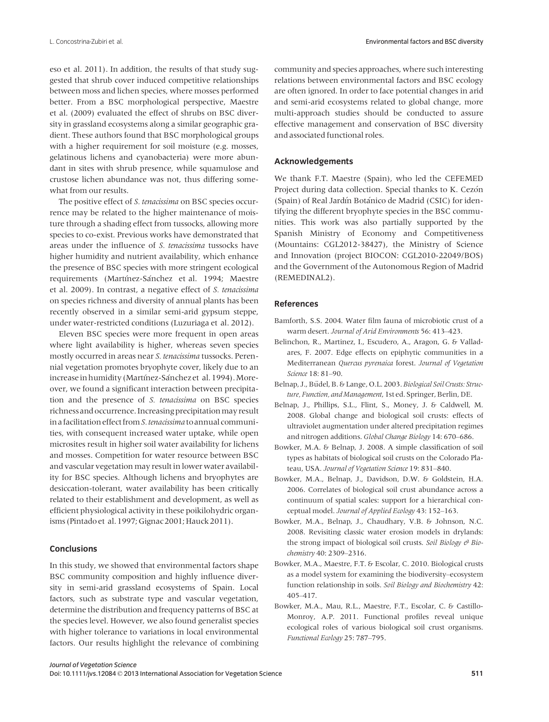eso et al. 2011). In addition, the results of that study suggested that shrub cover induced competitive relationships between moss and lichen species, where mosses performed better. From a BSC morphological perspective, Maestre et al. (2009) evaluated the effect of shrubs on BSC diversity in grassland ecosystems along a similar geographic gradient. These authors found that BSC morphological groups with a higher requirement for soil moisture (e.g. mosses, gelatinous lichens and cyanobacteria) were more abundant in sites with shrub presence, while squamulose and crustose lichen abundance was not, thus differing somewhat from our results.

The positive effect of S. tenacissima on BSC species occurrence may be related to the higher maintenance of moisture through a shading effect from tussocks, allowing more species to co-exist. Previous works have demonstrated that areas under the influence of S. tenacissima tussocks have higher humidity and nutrient availability, which enhance the presence of BSC species with more stringent ecological requirements (Martínez-Sánchez et al. 1994; Maestre et al. 2009). In contrast, a negative effect of S. tenacissima on species richness and diversity of annual plants has been recently observed in a similar semi-arid gypsum steppe, under water-restricted conditions (Luzuriaga et al. 2012).

Eleven BSC species were more frequent in open areas where light availability is higher, whereas seven species mostly occurred in areas near S. tenacissima tussocks. Perennial vegetation promotes bryophyte cover, likely due to an increase in humidity (Martínez-Sánchez et al. 1994). Moreover, we found a significant interaction between precipitation and the presence of S. tenacissima on BSC species richness and occurrence. Increasing precipitation may result in a facilitation effect from S. tenacissima to annual communities, with consequent increased water uptake, while open microsites result in higher soil water availability for lichens and mosses. Competition for water resource between BSC and vascular vegetation may result in lower water availability for BSC species. Although lichens and bryophytes are desiccation-tolerant, water availability has been critically related to their establishment and development, as well as efficient physiological activity in these poikilohydric organisms (Pintado et al. 1997; Gignac 2001; Hauck 2011).

#### **Conclusions**

In this study, we showed that environmental factors shape BSC community composition and highly influence diversity in semi-arid grassland ecosystems of Spain. Local factors, such as substrate type and vascular vegetation, determine the distribution and frequency patterns of BSC at the species level. However, we also found generalist species with higher tolerance to variations in local environmental factors. Our results highlight the relevance of combining

community and species approaches, where such interesting relations between environmental factors and BSC ecology are often ignored. In order to face potential changes in arid and semi-arid ecosystems related to global change, more multi-approach studies should be conducted to assure effective management and conservation of BSC diversity and associated functional roles.

# Acknowledgements

We thank F.T. Maestre (Spain), who led the CEFEMED Project during data collection. Special thanks to K. Cezón (Spain) of Real Jardın Botanico de Madrid (CSIC) for identifying the different bryophyte species in the BSC communities. This work was also partially supported by the Spanish Ministry of Economy and Competitiveness (Mountains: CGL2012-38427), the Ministry of Science and Innovation (project BIOCON: CGL2010-22049/BOS) and the Government of the Autonomous Region of Madrid (REMEDINAL2).

#### References

- Bamforth, S.S. 2004. Water film fauna of microbiotic crust of a warm desert. Journal of Arid Environments 56: 413–423.
- Belinchon, R., Martinez, I., Escudero, A., Aragon, G. & Valladares, F. 2007. Edge effects on epiphytic communities in a Mediterranean Quercus pyrenaica forest. Journal of Vegetation Science 18: 81–90.
- Belnap, J., Büdel, B. & Lange, O.L. 2003. Biological Soil Crusts: Structure, Function, and Management, 1st ed. Springer, Berlin, DE.
- Belnap, J., Phillips, S.L., Flint, S., Money, J. & Caldwell, M. 2008. Global change and biological soil crusts: effects of ultraviolet augmentation under altered precipitation regimes and nitrogen additions. Global Change Biology 14: 670–686.
- Bowker, M.A. & Belnap, J. 2008. A simple classification of soil types as habitats of biological soil crusts on the Colorado Plateau, USA. Journal of Vegetation Science 19: 831–840.
- Bowker, M.A., Belnap, J., Davidson, D.W. & Goldstein, H.A. 2006. Correlates of biological soil crust abundance across a continuum of spatial scales: support for a hierarchical conceptual model. Journal of Applied Ecology 43: 152–163.
- Bowker, M.A., Belnap, J., Chaudhary, V.B. & Johnson, N.C. 2008. Revisiting classic water erosion models in drylands: the strong impact of biological soil crusts. Soil Biology  $\theta$  Biochemistry 40: 2309–2316.
- Bowker, M.A., Maestre, F.T. & Escolar, C. 2010. Biological crusts as a model system for examining the biodiversity–ecosystem function relationship in soils. Soil Biology and Biochemistry 42: 405–417.
- Bowker, M.A., Mau, R.L., Maestre, F.T., Escolar, C. & Castillo-Monroy, A.P. 2011. Functional profiles reveal unique ecological roles of various biological soil crust organisms. Functional Ecology 25: 787–795.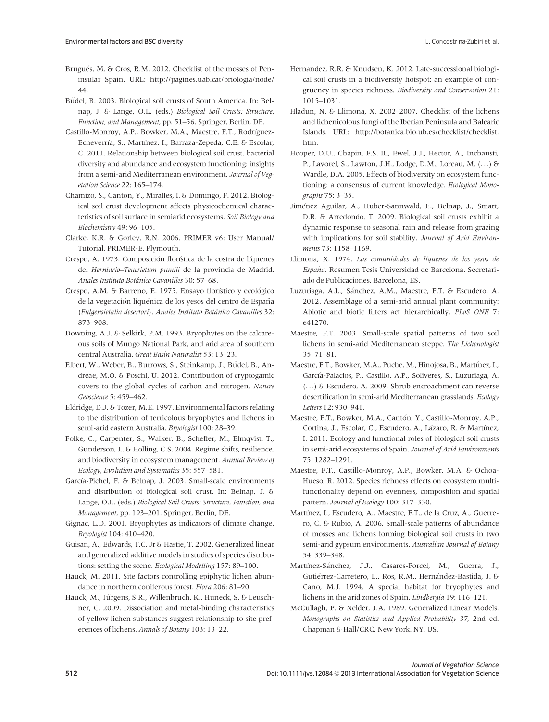- Brugués, M. & Cros, R.M. 2012. Checklist of the mosses of Peninsular Spain. URL: http://pagines.uab.cat/briologia/node/ 44.
- Budel, B. 2003. Biological soil crusts of South America. In: Belnap, J. & Lange, O.L. (eds.) Biological Soil Crusts: Structure, Function, and Management, pp. 51–56. Springer, Berlin, DE.
- Castillo-Monroy, A.P., Bowker, M.A., Maestre, F.T., Rodríguez-Echeverría, S., Martínez, I., Barraza-Zepeda, C.E. & Escolar, C. 2011. Relationship between biological soil crust, bacterial diversity and abundance and ecosystem functioning: insights from a semi-arid Mediterranean environment. Journal of Vegetation Science 22: 165–174.
- Chamizo, S., Canton, Y., Miralles, I. & Domingo, F. 2012. Biological soil crust development affects physicochemical characteristics of soil surface in semiarid ecosystems. Soil Biology and Biochemistry 49: 96–105.
- Clarke, K.R. & Gorley, R.N. 2006. PRIMER v6: User Manual/ Tutorial. PRIMER-E, Plymouth.
- Crespo, A. 1973. Composición florística de la costra de líquenes del Herniario–Teucrietum pumili de la provincia de Madrid. Anales Instituto Botanico Cavanilles 30: 57–68.
- Crespo, A.M. & Barreno, E. 1975. Ensayo florístico y ecológico de la vegetación liquénica de los yesos del centro de España (Fulgensietalia desertori). Anales Instituto Botanico Cavanilles 32: 873–908.
- Downing, A.J. & Selkirk, P.M. 1993. Bryophytes on the calcareous soils of Mungo National Park, and arid area of southern central Australia. Great Basin Naturalist 53: 13–23.
- Elbert, W., Weber, B., Burrows, S., Steinkamp, J., Büdel, B., Andreae, M.O. & Poschl, U. 2012. Contribution of cryptogamic covers to the global cycles of carbon and nitrogen. Nature Geoscience 5: 459–462.
- Eldridge, D.J. & Tozer, M.E. 1997. Environmental factors relating to the distribution of terricolous bryophytes and lichens in semi-arid eastern Australia. Bryologist 100: 28–39.
- Folke, C., Carpenter, S., Walker, B., Scheffer, M., Elmqvist, T., Gunderson, L. & Holling, C.S. 2004. Regime shifts, resilience, and biodiversity in ecosystem management. Annual Review of Ecology, Evolution and Systematics 35: 557–581.
- García-Pichel, F. & Belnap, J. 2003. Small-scale environments and distribution of biological soil crust. In: Belnap, J. & Lange, O.L. (eds.) Biological Soil Crusts: Structure, Function, and Management, pp. 193–201. Springer, Berlin, DE.
- Gignac, L.D. 2001. Bryophytes as indicators of climate change. Bryologist 104: 410–420.
- Guisan, A., Edwards, T.C. Jr & Hastie, T. 2002. Generalized linear and generalized additive models in studies of species distributions: setting the scene. Ecological Modelling 157: 89–100.
- Hauck, M. 2011. Site factors controlling epiphytic lichen abundance in northern coniferous forest. Flora 206: 81–90.
- Hauck, M., Jürgens, S.R., Willenbruch, K., Huneck, S. & Leuschner, C. 2009. Dissociation and metal-binding characteristics of yellow lichen substances suggest relationship to site preferences of lichens. Annals of Botany 103: 13–22.
- Hernandez, R.R. & Knudsen, K. 2012. Late-successional biological soil crusts in a biodiversity hotspot: an example of congruency in species richness. Biodiversity and Conservation 21: 1015–1031.
- Hladun, N. & Llimona, X. 2002–2007. Checklist of the lichens and lichenicolous fungi of the Iberian Peninsula and Balearic Islands. URL: http://botanica.bio.ub.es/checklist/checklist. htm.
- Hooper, D.U., Chapin, F.S. III, Ewel, J.J., Hector, A., Inchausti, P., Lavorel, S., Lawton, J.H., Lodge, D.M., Loreau, M. (...) & Wardle, D.A. 2005. Effects of biodiversity on ecosystem functioning: a consensus of current knowledge. Ecological Monographs 75: 3–35.
- Jimenez Aguilar, A., Huber-Sannwald, E., Belnap, J., Smart, D.R. & Arredondo, T. 2009. Biological soil crusts exhibit a dynamic response to seasonal rain and release from grazing with implications for soil stability. Journal of Arid Environments 73: 1158–1169.
- Llimona, X. 1974. Las comunidades de líquenes de los yesos de España. Resumen Tesis Universidad de Barcelona. Secretariado de Publicaciones, Barcelona, ES.
- Luzuriaga, A.L., Sánchez, A.M., Maestre, F.T. & Escudero, A. 2012. Assemblage of a semi-arid annual plant community: Abiotic and biotic filters act hierarchically. PLoS ONE 7: e41270.
- Maestre, F.T. 2003. Small-scale spatial patterns of two soil lichens in semi-arid Mediterranean steppe. The Lichenologist 35: 71–81.
- Maestre, F.T., Bowker, M.A., Puche, M., Hinojosa, B., Martínez, I., Garcıa-Palacios, P., Castillo, A.P., Soliveres, S., Luzuriaga, A. (...) & Escudero, A. 2009. Shrub encroachment can reverse desertification in semi-arid Mediterranean grasslands. Ecology Letters 12: 930–941.
- Maestre, F.T., Bowker, M.A., Canton, Y., Castillo-Monroy, A.P., Cortina, J., Escolar, C., Escudero, A., Lázaro, R. & Martínez, I. 2011. Ecology and functional roles of biological soil crusts in semi-arid ecosystems of Spain. Journal of Arid Environments 75: 1282–1291.
- Maestre, F.T., Castillo-Monroy, A.P., Bowker, M.A. & Ochoa-Hueso, R. 2012. Species richness effects on ecosystem multifunctionality depend on evenness, composition and spatial pattern. Journal of Ecology 100: 317–330.
- Martínez, I., Escudero, A., Maestre, F.T., de la Cruz, A., Guerrero, C. & Rubio, A. 2006. Small-scale patterns of abundance of mosses and lichens forming biological soil crusts in two semi-arid gypsum environments. Australian Journal of Botany 54: 339–348.
- Martínez-Sánchez, J.J., Casares-Porcel, M., Guerra, J., Gutiérrez-Carretero, L., Ros, R.M., Hernández-Bastida, J. & Cano, M.J. 1994. A special habitat for bryophytes and lichens in the arid zones of Spain. Lindbergia 19: 116–121.
- McCullagh, P. & Nelder, J.A. 1989. Generalized Linear Models. Monographs on Statistics and Applied Probability 37, 2nd ed. Chapman & Hall/CRC, New York, NY, US.